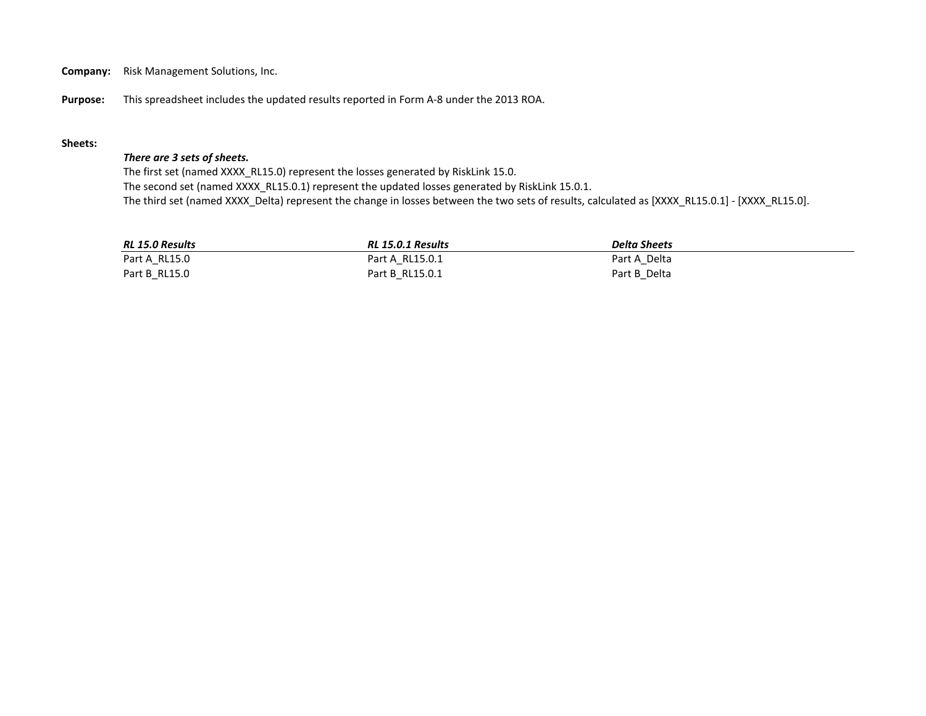**Company:** Risk Management Solutions, Inc.

**Purpose:** This spreadsheet includes the updated results reported in Form A-8 under the 2013 ROA.

## **Sheets:**

## *There are 3 sets of sheets.*

The first set (named XXXX\_RL15.0) represent the losses generated by RiskLink 15.0. The second set (named XXXX\_RL15.0.1) represent the updated losses generated by RiskLink 15.0.1. The third set (named XXXX\_Delta) represent the change in losses between the two sets of results, calculated as [XXXX\_RL15.0.1] - [XXXX\_RL15.0].

| RL 15.0 Results | RL 15.0.1 Results | <b>Delta Sheets</b> |
|-----------------|-------------------|---------------------|
| Part A RL15.0   | Part A RL15.0.1   | Part A Delta        |
| Part B RL15.0   | Part B RL15.0.1   | Part B Delta        |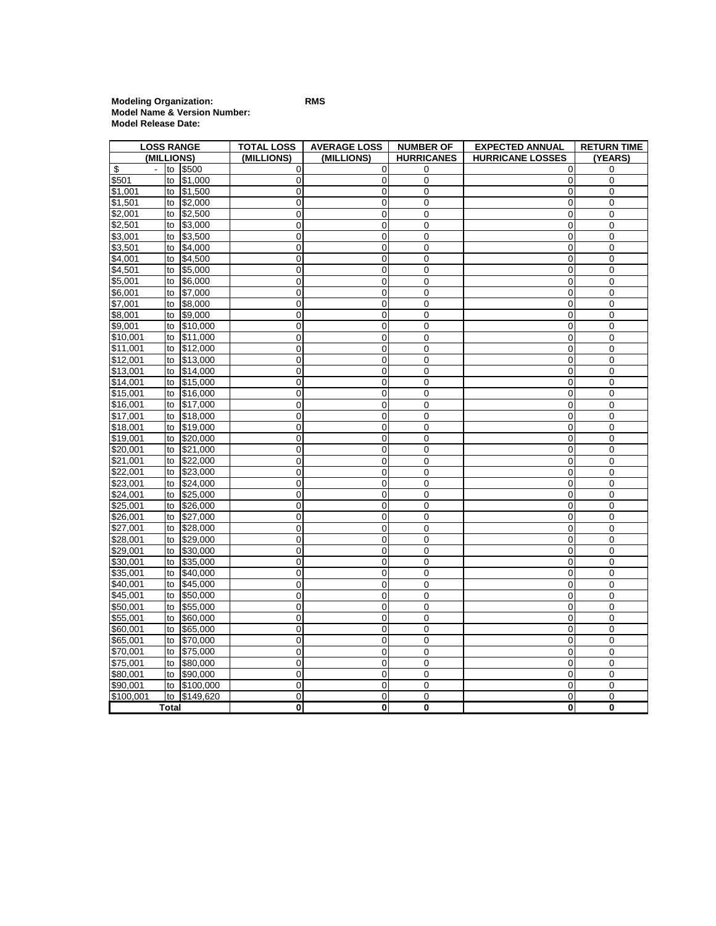**Modeling Organization: RMS Model Name & Version Number: Model Release Date:**

| <b>LOSS RANGE</b>    |                      | <b>TOTAL LOSS</b>    | <b>AVERAGE LOSS</b>        | <b>NUMBER OF</b>                 | <b>EXPECTED ANNUAL</b> | <b>RETURN TIME</b>      |                          |
|----------------------|----------------------|----------------------|----------------------------|----------------------------------|------------------------|-------------------------|--------------------------|
|                      | (MILLIONS)           |                      | (MILLIONS)                 | (MILLIONS)                       | <b>HURRICANES</b>      | <b>HURRICANE LOSSES</b> | (YEARS)                  |
| \$                   | to<br>$\blacksquare$ | \$500                | 0                          | 0                                | 0                      | 0                       | 0                        |
| \$501                | to                   | \$1,000              | $\mathbf 0$                | $\overline{0}$                   | 0                      | 0                       | $\mathbf 0$              |
| \$1,001              | to                   | \$1,500              | $\mathbf 0$                | $\overline{0}$                   | 0                      | 0                       | $\mathbf 0$              |
| \$1,501              | to                   | \$2,000              | $\mathbf 0$                | 0                                | 0                      | 0                       | 0                        |
| \$2,001              | to                   | \$2,500              | 0                          | $\mathbf 0$                      | 0                      | 0                       | 0                        |
| \$2,501              | to                   | \$3,000              | 0                          | 0                                | 0                      | 0                       | 0                        |
| \$3,001              | to                   | \$3,500              | 0                          | 0                                | 0                      | 0                       | 0                        |
| \$3,501              | to                   | \$4,000              | $\mathbf 0$                | $\mathbf 0$                      | 0                      | 0                       | 0                        |
| \$4,001              | to                   | \$4,500              | $\mathbf 0$                | 0                                | 0                      | 0                       | $\mathbf 0$              |
| \$4,501              | to                   | \$5,000              | 0                          | 0                                | 0                      | 0                       | $\mathbf 0$              |
| \$5,001              | to                   | \$6,000              | $\mathbf 0$                | 0                                | 0                      | 0                       | $\mathbf 0$              |
| \$6,001              | to                   | \$7,000              | $\mathbf 0$                | $\mathbf 0$                      | 0                      | 0                       | $\boldsymbol{0}$         |
| \$7,001              | to                   | \$8,000              | $\mathbf 0$                | 0                                | 0                      | 0                       | $\mathbf 0$              |
| \$8,001              | to                   | \$9,000              | 0                          | $\overline{0}$                   | 0                      | 0                       | $\mathbf 0$              |
| \$9,001              | to                   | \$10,000             | 0                          | 0                                | 0                      | 0                       | 0                        |
| \$10,001             | to                   | \$11,000             | $\mathbf 0$                | $\overline{0}$                   | 0                      | 0                       | $\mathbf 0$              |
| \$11,001             | to                   | \$12,000             | 0                          | $\overline{0}$                   | 0                      | 0                       | 0                        |
| \$12,001             | to                   | \$13,000             | 0                          | $\mathbf 0$                      | 0                      | 0                       | 0                        |
| \$13,001             | to                   | \$14,000             | 0                          | 0                                | 0                      | 0                       | 0                        |
| \$14,001             | to                   | \$15,000             | $\mathbf 0$                | 0                                | 0                      | 0                       | $\mathbf 0$              |
| \$15,001             | to                   | \$16,000             | 0                          | 0                                | 0                      | 0                       | $\mathbf 0$              |
| \$16,001             | to                   | \$17,000             | $\mathbf 0$                | 0                                | 0                      | 0                       | $\boldsymbol{0}$         |
| \$17,001             | to                   | \$18,000             | $\mathbf 0$                | 0                                | 0                      | 0                       | $\mathbf 0$              |
| \$18,001             | to                   | \$19,000             | $\mathbf 0$                | 0                                | 0                      | 0                       | $\mathbf 0$              |
| \$19,001             | to                   | \$20,000             | 0                          | 0                                | 0                      | 0                       | 0                        |
| \$20,001             | to                   | \$21,000             | $\mathbf 0$                | 0                                | 0                      | 0                       | 0                        |
| \$21,001             | to                   | \$22,000             | 0                          | $\mathbf 0$                      | 0                      | $\mathbf 0$             | $\mathbf 0$              |
| \$22,001             | to                   | \$23,000             | $\mathbf 0$                | $\overline{0}$                   | 0                      | 0                       | $\mathbf 0$              |
| \$23,001             | to                   | \$24,000             | 0                          | $\mathbf 0$                      | 0                      | 0                       | $\boldsymbol{0}$         |
| \$24,001             | to                   | \$25,000             | 0                          | $\mathbf 0$                      | 0                      | 0                       | 0                        |
| \$25,001             | to                   | \$26,000             | 0                          | 0                                | 0                      | 0                       | 0                        |
| \$26,001             | to                   | \$27,000             | 0                          | $\overline{0}$                   | 0                      | 0                       | 0                        |
| \$27,001             | to                   | \$28,000             | $\mathbf 0$                | 0                                | 0                      | $\mathbf 0$             | $\mathbf 0$              |
| \$28,001             | to                   | \$29,000             | 0                          | 0                                | 0                      | 0                       | $\mathbf 0$              |
| \$29,001             | to                   | \$30,000             | $\mathbf 0$                | 0                                | $\mathbf 0$            | 0                       | $\mathbf 0$              |
| \$30,001             | to                   | \$35,000             | 0                          | 0                                | 0                      | 0                       | $\pmb{0}$                |
| \$35,001             | to                   | \$40,000             | $\mathbf 0$                | 0                                | 0                      | 0                       | 0                        |
| \$40,001             | to                   | \$45,000             | $\mathbf 0$                | $\mathbf 0$                      | 0                      | 0                       | $\mathbf 0$              |
| \$45,001             | to                   | \$50,000             | 0                          | 0                                | 0                      | 0                       | $\mathbf 0$              |
| \$50,001             | to                   | \$55,000             | $\mathbf 0$                | $\mathbf 0$                      | 0                      | 0                       | $\pmb{0}$                |
| \$55,001             | to                   | \$60,000             | $\mathbf 0$                | $\overline{0}$                   | 0                      | 0                       | $\mathbf 0$              |
| \$60,001             | to                   | \$65,000             | 0                          | $\overline{0}$<br>$\overline{0}$ | 0                      | 0                       | 0<br>0                   |
| \$65,001<br>\$70,001 | to<br>to             | \$70,000             | 0                          | 0                                | 0                      | 0                       |                          |
| \$75,001             | to                   | \$75,000<br>\$80,000 | $\mathbf 0$<br>$\mathbf 0$ | $\mathbf 0$                      | 0<br>0                 | 0<br>0                  | $\pmb{0}$<br>$\mathbf 0$ |
| \$80.001             | to                   | \$90,000             | $\mathbf 0$                | 0                                | 0                      | 0                       | $\mathbf 0$              |
| \$90,001             | to                   | \$100,000            | $\mathbf 0$                | 0                                | 0                      | 0                       | $\pmb{0}$                |
| \$100,001            | to                   | \$149,620            | 0                          | $\mathbf 0$                      | 0                      | 0                       | 0                        |
|                      | Total                |                      | 0                          | $\mathbf 0$                      | 0                      | 0                       | $\bf{0}$                 |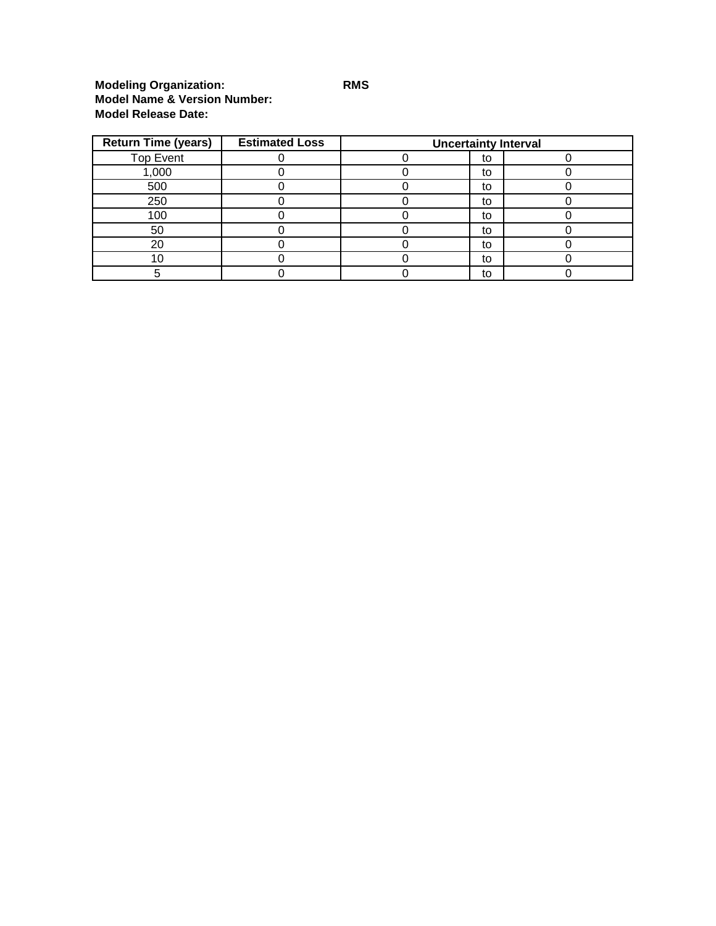## **Modeling Organization: RMS Model Name & Version Number: Model Release Date:**

| <b>Return Time (years)</b> | <b>Estimated Loss</b> | <b>Uncertainty Interval</b> |    |  |  |  |  |  |
|----------------------------|-----------------------|-----------------------------|----|--|--|--|--|--|
| <b>Top Event</b>           |                       |                             | to |  |  |  |  |  |
| 1,000                      |                       |                             | to |  |  |  |  |  |
| 500                        |                       |                             | to |  |  |  |  |  |
| 250                        |                       |                             | to |  |  |  |  |  |
| 100                        |                       |                             | to |  |  |  |  |  |
| 50                         |                       |                             | to |  |  |  |  |  |
| 20                         |                       |                             | to |  |  |  |  |  |
|                            |                       |                             | to |  |  |  |  |  |
|                            |                       |                             | to |  |  |  |  |  |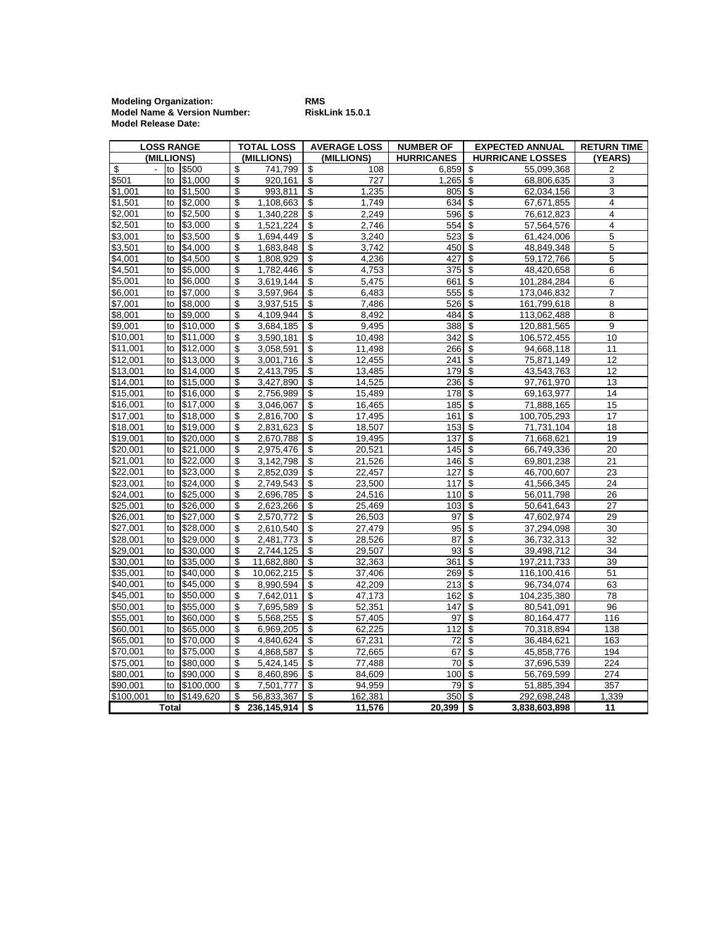**Modeling Organization: RMS Model Name & Version Number: RiskLink 15.0.1 Model Release Date:**

| <b>LOSS RANGE</b>  |       |           | <b>TOTAL LOSS</b>      | <b>AVERAGE LOSS</b> | <b>NUMBER OF</b>  | <b>EXPECTED ANNUAL</b>                 |                         | <b>RETURN TIME</b>      |  |
|--------------------|-------|-----------|------------------------|---------------------|-------------------|----------------------------------------|-------------------------|-------------------------|--|
| (MILLIONS)         |       |           | (MILLIONS)             | (MILLIONS)          | <b>HURRICANES</b> |                                        | <b>HURRICANE LOSSES</b> | (YEARS)                 |  |
| \$                 |       | to \$500  | \$<br>741,799          | \$<br>108           | 6,859             | \$                                     | 55,099,368              | 2                       |  |
| \$501              | to    | \$1,000   | \$<br>920,161          | \$<br>727           | 1,265             | \$                                     | 68,806,635              | 3                       |  |
| \$1,001            | to    | \$1,500   | \$<br>993,811          | \$<br>1,235         | 805               | $\overline{\mathcal{S}}$               | 62,034,156              | 3                       |  |
| \$1,501            | to    | \$2,000   | \$<br>1,108,663        | \$<br>1,749         | 634               | \$                                     | 67,671,855              | $\overline{4}$          |  |
| \$2,001            | to    | \$2,500   | \$<br>1,340,228        | \$<br>2.249         | 596               | $\sqrt{2}$                             | 76,612,823              | $\overline{4}$          |  |
| \$2,501            | to    | \$3,000   | \$<br>1,521,224        | \$<br>2,746         | 554               | \$                                     | 57,564,576              | $\overline{\mathbf{4}}$ |  |
| \$3,001            | to    | \$3,500   | \$<br>1,694,449        | \$<br>3,240         | 523               | \$                                     | $\overline{61,}424,006$ | 5                       |  |
| \$3,501            | to    | \$4,000   | \$<br>1,683,848        | \$<br>3,742         | 450               | \$                                     | 48,849,348              | 5                       |  |
| $\frac{1}{64,001}$ | to    | \$4,500   | \$<br>1,808,929        | \$<br>4,236         | 427               | \$                                     | 59,172,766              | 5                       |  |
| \$4,501            | to    | \$5,000   | \$<br>1,782,446        | \$<br>4,753         | $\overline{375}$  | \$                                     | 48,420,658              | 6                       |  |
| \$5,001            | to    | \$6,000   | \$<br>3,619,144        | \$<br>5,475         | 661               | \$                                     | 101,284,284             | 6                       |  |
| \$6,001            | to    | \$7.000   | \$<br>3,597,964        | \$<br>6,483         | 555               | \$                                     | 173,046,832             | $\overline{7}$          |  |
| \$7.001            | to    | \$8,000   | \$<br>3,937,515        | \$<br>7,486         | 526               | $\overline{\boldsymbol{\mathfrak{s}}}$ | 161,799,618             | 8                       |  |
| \$8,001            | to    | \$9,000   | \$<br>4,109,944        | \$<br>8,492         | 484               | $\overline{\mathcal{E}}$               | 113,062,488             | 8                       |  |
| \$9,001            | to    | \$10,000  | \$<br>3,684,185        | \$<br>9,495         | 388               | \$                                     | 120,881,565             | 9                       |  |
| \$10,001           | to    | \$11,000  | \$<br>3,590,181        | \$<br>10,498        | 342               | \$                                     | 106,572,455             | 10                      |  |
| \$11,001           | to    | \$12,000  | \$<br>3,058,591        | \$<br>11,498        | 266               | $\overline{\boldsymbol{\mathfrak{s}}}$ | 94,668,118              | 11                      |  |
| \$12,001           | to    | \$13,000  | \$<br>3,001,716        | \$<br>12,455        | 241               | \$                                     | 75,871,149              | 12                      |  |
| \$13,001           | to    | \$14,000  | \$<br>2,413,795        | \$<br>13,485        | 179               | \$                                     | 43,543,763              | 12                      |  |
| \$14,001           | to    | \$15,000  | \$<br>3,427,890        | \$<br>14.525        | 236               | $\sqrt{2}$                             | 97,761,970              | 13                      |  |
| \$15,001           | to    | \$16,000  | \$<br>2,756,989        | \$<br>15,489        | 178               | \$                                     | 69,163,977              | 14                      |  |
| \$16,001           | to    | \$17,000  | \$<br>3,046,067        | \$<br>16,465        | 185               | \$                                     | 71,888,165              | 15                      |  |
| \$17,001           | to    | \$18,000  | \$<br>2,816,700        | \$<br>17,495        | 161               | \$                                     | 100,705,293             | 17                      |  |
| \$18,001           | to    | \$19,000  | \$<br>2,831,623        | \$<br>18,507        | 153               | \$                                     | 71,731,104              | 18                      |  |
| \$19,001           | to    | \$20,000  | \$<br>2,670,788        | \$<br>19,495        | 137               | \$                                     | 71,668,621              | 19                      |  |
| \$20,001           | to    | \$21,000  | \$<br>2,975,476        | \$<br>20,521        | 145               | \$                                     | 66,749,336              | 20                      |  |
| \$21,001           | to    | \$22,000  | \$<br>3,142,798        | \$<br>21,526        | 146               | \$                                     | 69,801,238              | 21                      |  |
| \$22,001           | to    | \$23,000  | \$<br>2,852,039        | \$<br>22,457        | 127               | \$                                     | 46,700,607              | 23                      |  |
| \$23,001           | to    | \$24,000  | \$<br>2,749,543        | \$<br>23,500        | 117               | $\overline{\boldsymbol{\theta}}$       | 41,566,345              | 24                      |  |
| \$24,001           | to    | \$25,000  | \$<br>2,696,785        | \$<br>24,516        | 110               | $\overline{\boldsymbol{\mathfrak{s}}}$ | 56,011,798              | 26                      |  |
| \$25,001           | to    | \$26,000  | \$<br>2,623,266        | \$<br>25,469        | 103               | $\overline{\boldsymbol{\mathfrak{s}}}$ | 50,641,643              | 27                      |  |
| \$26,001           | to    | \$27,000  | \$<br>2,570,772        | \$<br>26,503        | 97                | $\overline{\$}$                        | 47,602,974              | 29                      |  |
| \$27,001           | to    | \$28,000  | \$<br>2,610,540        | \$<br>27,479        | 95                | \$                                     | 37,294,098              | 30                      |  |
| \$28,001           | to    | \$29,000  | \$<br>2,481,773        | \$<br>28,526        | 87                | \$                                     | 36,732,313              | 32                      |  |
| \$29,001           | to    | \$30,000  | \$<br>2,744,125        | \$<br>29,507        | 93                | \$                                     | 39,498,712              | 34                      |  |
| \$30,001           | to    | \$35,000  | \$<br>11,682,880       | \$<br>32,363        | 361               | \$                                     | 197,211,733             | 39                      |  |
| \$35,001           | to    | \$40,000  | \$<br>10,062,215       | \$<br>37,406        | 269               | $\overline{\mathcal{E}}$               | 116,100,416             | 51                      |  |
| \$40,001           | to    | \$45,000  | \$<br>8,990,594        | \$<br>42,209        | 213               | \$                                     | 96,734,074              | 63                      |  |
| \$45,001           | to    | \$50,000  | \$<br>7,642,011        | \$<br>47,173        | 162               | \$                                     | 104,235,380             | 78                      |  |
| \$50,001           | to    | \$55,000  | \$<br>7,695,589        | \$<br>52,351        | 147               | \$                                     | 80,541,091              | 96                      |  |
| \$55,001           | to    | \$60,000  | \$<br>5,568,255        | \$<br>57,405        | 97                | \$                                     | 80,164,477              | 116                     |  |
| \$60,001           | to    | \$65,000  | \$<br>6,969,205        | \$<br>62,225        | 112               | \$                                     | 70,318,894              | 138                     |  |
| \$65,001           | to    | \$70,000  | \$<br>4,840,624        | \$<br>67,231        | 72                | \$                                     | 36,484,621              | 163                     |  |
| \$70,001           | to    | \$75,000  | \$<br>4,868,587        | \$<br>72,665        | 67                | \$                                     | 45,858,776              | 194                     |  |
| \$75,001           | to    | \$80,000  | \$<br>5,424,145        | \$<br>77,488        | 70                | $\overline{\mathcal{E}}$               | 37,696,539              | 224                     |  |
| \$80,001           | to    | \$90,000  | \$<br>8,460,896        | \$<br>84,609        | 100               | \$                                     | 56,769,599              | 274                     |  |
| \$90,001           | to    | \$100,000 | \$<br>7,501,777        | \$<br>94,959        | 79                | \$                                     | 51,885,394              | 357                     |  |
| \$100,001          | to    | \$149,620 | \$<br>56,833,367       | \$<br>162,381       | 350               | -\$                                    | 292,698,248             | 1,339                   |  |
|                    | Total |           | \$<br>$236,145,914$ \$ | 11,576              | $20,399$   \$     |                                        | 3,838,603,898           | 11                      |  |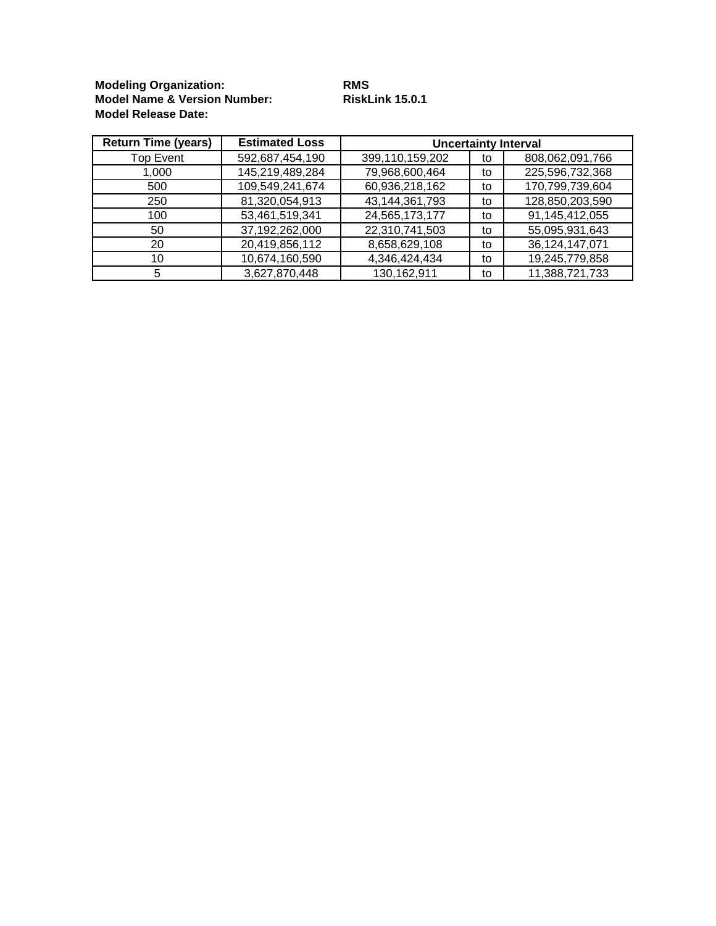**Modeling Organization: RMS Model Name & Version Number: RiskLink 15.0.1 Model Release Date:**

| <b>Return Time (years)</b> | <b>Estimated Loss</b> | <b>Uncertainty Interval</b> |    |                   |  |  |  |  |
|----------------------------|-----------------------|-----------------------------|----|-------------------|--|--|--|--|
| <b>Top Event</b>           | 592,687,454,190       | 399,110,159,202             | to | 808,062,091,766   |  |  |  |  |
| 1,000                      | 145,219,489,284       | 79,968,600,464              | to | 225,596,732,368   |  |  |  |  |
| 500                        | 109,549,241,674       | 60,936,218,162              | to | 170,799,739,604   |  |  |  |  |
| 250                        | 81,320,054,913        | 43,144,361,793              | to | 128,850,203,590   |  |  |  |  |
| 100                        | 53,461,519,341        | 24,565,173,177              | to | 91,145,412,055    |  |  |  |  |
| 50                         | 37,192,262,000        | 22,310,741,503              | to | 55,095,931,643    |  |  |  |  |
| 20                         | 20,419,856,112        | 8,658,629,108               | to | 36, 124, 147, 071 |  |  |  |  |
| 10                         | 10,674,160,590        | 4,346,424,434               | to | 19,245,779,858    |  |  |  |  |
| 5                          | 3,627,870,448         | 130,162,911                 | to | 11,388,721,733    |  |  |  |  |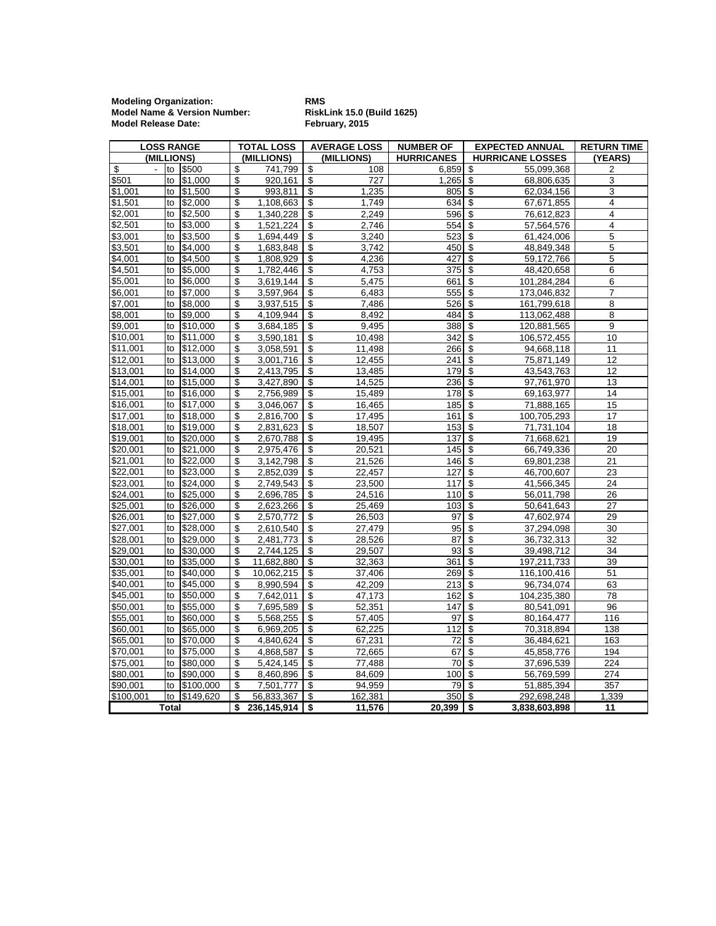**Modeling Organization: RMS Model Name & Version Number: RiskLink 15.0 (Build 1625) Model Release Date: February, 2015**

| <b>LOSS RANGE</b> |       | <b>TOTAL LOSS</b> |    | <b>AVERAGE LOSS</b> |                                  | <b>NUMBER OF</b> |                        | <b>EXPECTED ANNUAL</b>                 | <b>RETURN TIME</b>      |                         |
|-------------------|-------|-------------------|----|---------------------|----------------------------------|------------------|------------------------|----------------------------------------|-------------------------|-------------------------|
| (MILLIONS)        |       |                   |    | (MILLIONS)          |                                  | (MILLIONS)       | <b>HURRICANES</b>      |                                        | <b>HURRICANE LOSSES</b> | (YEARS)                 |
| \$                |       | to \$500          | \$ | 741,799             | \$                               | 108              | 6,859                  | \$                                     | 55,099,368              | 2                       |
| \$501             | to    | \$1,000           | \$ | 920,161             | \$                               | 727              | 1,265                  | \$                                     | 68,806,635              | 3                       |
| \$1,001           | to    | \$1,500           | \$ | 993,811             | \$                               | 1,235            | 805                    | \$                                     | 62,034,156              | 3                       |
| \$1,501           |       | to \$2,000        | \$ | 1,108,663           | \$                               | 1,749            | 634 \$                 |                                        | 67,671,855              | 4                       |
| \$2,001           | to    | \$2,500           | \$ | 1,340,228           | \$                               | 2,249            | $596$ \$               |                                        | 76,612,823              | $\overline{\mathbf{4}}$ |
| \$2,501           | to    | \$3,000           | \$ | 1,521,224           | \$                               | 2,746            | 554                    | \$                                     | 57,564,576              | $\overline{4}$          |
| \$3,001           | to    | \$3,500           | \$ | 1,694,449           | \$                               | 3,240            | 523                    | \$                                     | 61,424,006              | 5                       |
| \$3,501           | to    | \$4,000           | \$ | 1.683.848           | \$                               | 3.742            | 450                    | \$                                     | 48.849.348              | 5                       |
| \$4,001           | to    | \$4,500           | \$ | 1,808,929           | \$                               | 4,236            | 427                    | \$                                     | 59,172,766              | 5                       |
| \$4,501           | to    | \$5,000           | \$ | 1,782,446           | \$                               | 4,753            | 375                    | $\overline{\mathcal{L}}$               | 48,420,658              | 6                       |
| \$5,001           | to    | \$6,000           | \$ | 3,619,144           | \$                               | 5,475            | 661                    | \$                                     | 101,284,284             | 6                       |
| \$6,001           | to    | \$7,000           | \$ | 3,597,964           | \$                               | 6,483            | 555                    | \$                                     | 173,046,832             | 7                       |
| \$7,001           | to    | \$8,000           | \$ | 3,937,515           | \$                               | 7,486            | 526                    | \$                                     | 161,799,618             | 8                       |
| \$8,001           | to    | \$9,000           | \$ | 4,109,944           | $\overline{\$}$                  | 8,492            | 484                    | $\overline{\mathfrak{s}}$              | 113,062,488             | 8                       |
| \$9,001           | to    | \$10,000          | \$ | 3,684,185           | \$                               | 9,495            | 388 \$                 |                                        | 120,881,565             | 9                       |
| \$10,001          | to    | \$11,000          | \$ | 3,590,181           | \$                               | 10,498           | 342                    | \$                                     | 106,572,455             | 10                      |
| \$11,001          | to    | \$12,000          | \$ | 3,058,591           | \$                               | 11,498           | 266 \$                 |                                        | 94,668,118              | 11                      |
| \$12,001          | to    | \$13,000          | \$ | 3,001,716           | $\overline{\boldsymbol{\theta}}$ | 12,455           | 241                    | \$                                     | 75,871,149              | 12                      |
| \$13,001          | to    | \$14,000          | \$ | 2,413,795           | \$                               | 13,485           | 179                    | $\overline{\mathcal{S}}$               | 43,543,763              | 12                      |
| \$14,001          | to    | \$15,000          | \$ | 3,427,890           | \$                               | 14,525           | 236                    | \$                                     | 97,761,970              | 13                      |
| \$15,001          | to    | \$16,000          | \$ | 2,756,989           | \$                               | 15,489           | $178$ \$               |                                        | 69,163,977              | 14                      |
| \$16,001          |       | to \$17,000       | \$ | 3,046,067           | \$                               | 16,465           | 185                    | $\overline{\boldsymbol{\mathfrak{s}}}$ | 71,888,165              | 15                      |
| \$17,001          | to    | \$18,000          | \$ | 2,816,700           | \$                               | 17,495           | 161                    | \$                                     | 100,705,293             | 17                      |
| \$18,001          | to    | \$19,000          | \$ | 2,831,623           | \$                               | 18,507           | 153                    | $\overline{\boldsymbol{\mathfrak{s}}}$ | 71,731,104              | 18                      |
| \$19,001          | to    | \$20,000          | \$ | 2,670,788           | \$                               | 19,495           | 137                    | \$                                     | 71,668,621              | 19                      |
| \$20,001          | to    | \$21,000          | \$ | 2,975,476           | \$                               | 20,521           | 145                    | \$                                     | 66,749,336              | 20                      |
| \$21,001          | to    | \$22,000          | \$ | 3,142,798           | \$                               | 21,526           | 146 \$                 |                                        | 69,801,238              | 21                      |
| \$22,001          | to    | \$23,000          | \$ | 2,852,039           | \$                               | 22,457           | 127                    | \$                                     | 46,700,607              | 23                      |
| \$23,001          | to    | \$24,000          | \$ | 2,749,543           | \$                               | 23,500           | 117                    | \$                                     | 41,566,345              | 24                      |
| \$24,001          | to    | \$25,000          | \$ | 2,696,785           | \$                               | 24,516           | 110                    | \$                                     | 56,011,798              | 26                      |
| \$25,001          | to    | \$26,000          | \$ | 2,623,266           | \$                               | 25,469           | 103                    | \$                                     | 50,641,643              | 27                      |
| \$26,001          | to    | \$27,000          | \$ | 2,570,772           | \$                               | 26,503           | 97                     | \$                                     | 47,602,974              | 29                      |
| \$27,001          | to    | \$28,000          | \$ | 2,610,540           | $\overline{\mathbf{e}}$          | 27,479           | 95                     | \$                                     | 37,294,098              | 30                      |
| \$28,001          | to    | \$29,000          | \$ | 2,481,773           | \$                               | 28,526           | 87                     | \$                                     | 36,732,313              | 32                      |
| \$29,001          | to    | \$30,000          | \$ | 2,744,125           | $\overline{\mathbf{e}}$          | 29,507           | 93                     | \$                                     | 39,498,712              | 34                      |
| \$30,001          | to    | \$35,000          | \$ | 11,682,880          | \$                               | 32,363           | 361                    | \$                                     | 197,211,733             | 39                      |
| \$35,001          | to    | \$40,000          | \$ | 10,062,215          | \$                               | 37,406           | 269                    | \$                                     | 116,100,416             | 51                      |
| \$40,001          | to    | \$45,000          | \$ | 8,990,594           | \$                               | 42,209           | 213                    | $\overline{\mathbf{3}}$                | 96,734,074              | 63                      |
| \$45,001          | to    | \$50,000          | \$ | 7,642,011           | \$                               | 47,173           | 162                    | \$                                     | 104,235,380             | 78                      |
| \$50,001          | to    | \$55,000          | \$ | 7,695,589           | \$                               | 52,351           | 147                    | \$                                     | 80,541,091              | 96                      |
| \$55,001          | to    | \$60,000          | \$ | 5,568,255           | \$                               | 57,405           | 97                     | \$                                     | 80,164,477              | 116                     |
| \$60,001          | to    | \$65,000          | \$ | 6,969,205           | \$                               | 62,225           | 112                    | $\overline{\boldsymbol{\theta}}$       | 70,318,894              | 138                     |
| \$65,001          | to    | \$70,000          | \$ | 4,840,624           | \$                               | 67,231           | 72                     | \$                                     | 36,484,621              | 163                     |
| \$70,001          | to    | \$75,000          | \$ | 4,868,587           | \$                               | 72,665           | 67                     | \$                                     | 45,858,776              | 194                     |
| \$75,001          | to    | \$80,000          | \$ | 5,424,145           | \$                               | 77,488           | 70                     | \$                                     | 37,696,539              | 224                     |
| \$80,001          | to    | \$90,000          | \$ | 8,460,896           | \$                               | 84,609           | 100                    | $\overline{\$}$                        | 56,769,599              | 274                     |
| \$90,001          | to    | \$100,000         | \$ | 7,501,777           | \$                               | 94,959           | 79                     | \$                                     | 51,885,394              | 357                     |
| \$100,001         |       | to \$149,620      | \$ | 56,833,367          | \$                               | 162,381          | 350 \$                 |                                        | 292,698,248             | 1,339                   |
|                   | Total |                   | \$ | $236,145,914$ \$    |                                  | 11,576           | $20,399$ $\frac{1}{5}$ |                                        | 3,838,603,898           | 11                      |